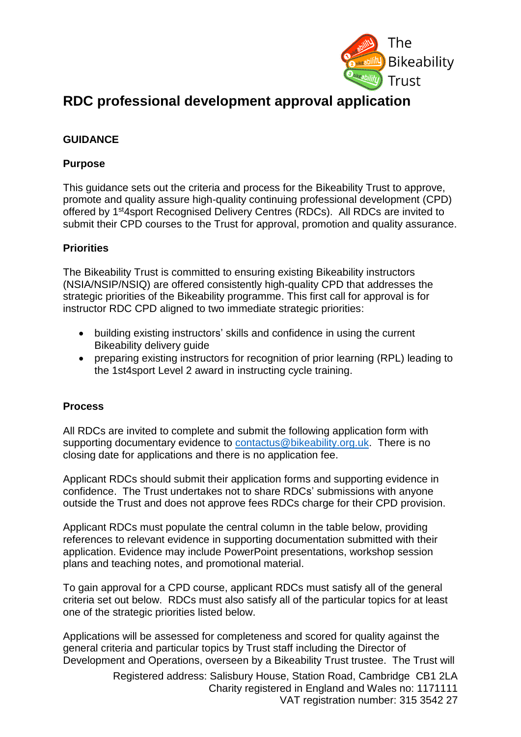

# **RDC professional development approval application**

## **GUIDANCE**

## **Purpose**

This guidance sets out the criteria and process for the Bikeability Trust to approve, promote and quality assure high-quality continuing professional development (CPD) offered by 1<sup>st</sup>4sport Recognised Delivery Centres (RDCs). All RDCs are invited to submit their CPD courses to the Trust for approval, promotion and quality assurance.

#### **Priorities**

The Bikeability Trust is committed to ensuring existing Bikeability instructors (NSIA/NSIP/NSIQ) are offered consistently high-quality CPD that addresses the strategic priorities of the Bikeability programme. This first call for approval is for instructor RDC CPD aligned to two immediate strategic priorities:

- building existing instructors' skills and confidence in using the current Bikeability delivery guide
- preparing existing instructors for recognition of prior learning (RPL) leading to the 1st4sport Level 2 award in instructing cycle training.

#### **Process**

All RDCs are invited to complete and submit the following application form with supporting documentary evidence to [contactus@bikeability.org.uk.](mailto:contactus@bikeability.org.uk) There is no closing date for applications and there is no application fee.

Applicant RDCs should submit their application forms and supporting evidence in confidence. The Trust undertakes not to share RDCs' submissions with anyone outside the Trust and does not approve fees RDCs charge for their CPD provision.

Applicant RDCs must populate the central column in the table below, providing references to relevant evidence in supporting documentation submitted with their application. Evidence may include PowerPoint presentations, workshop session plans and teaching notes, and promotional material.

To gain approval for a CPD course, applicant RDCs must satisfy all of the general criteria set out below. RDCs must also satisfy all of the particular topics for at least one of the strategic priorities listed below.

Applications will be assessed for completeness and scored for quality against the general criteria and particular topics by Trust staff including the Director of Development and Operations, overseen by a Bikeability Trust trustee. The Trust will

> Registered address: Salisbury House, Station Road, Cambridge CB1 2LA Charity registered in England and Wales no: 1171111 VAT registration number: 315 3542 27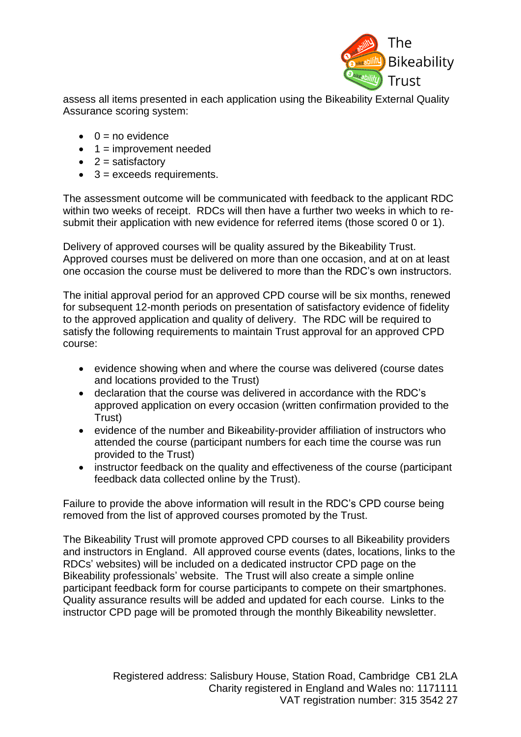

assess all items presented in each application using the Bikeability External Quality Assurance scoring system:

- $\bullet$  0 = no evidence
- $\bullet$  1 = improvement needed
- $\bullet$  2 = satisfactory
- $\bullet$  3 = exceeds requirements.

The assessment outcome will be communicated with feedback to the applicant RDC within two weeks of receipt. RDCs will then have a further two weeks in which to resubmit their application with new evidence for referred items (those scored 0 or 1).

Delivery of approved courses will be quality assured by the Bikeability Trust. Approved courses must be delivered on more than one occasion, and at on at least one occasion the course must be delivered to more than the RDC's own instructors.

The initial approval period for an approved CPD course will be six months, renewed for subsequent 12-month periods on presentation of satisfactory evidence of fidelity to the approved application and quality of delivery. The RDC will be required to satisfy the following requirements to maintain Trust approval for an approved CPD course:

- evidence showing when and where the course was delivered (course dates and locations provided to the Trust)
- declaration that the course was delivered in accordance with the RDC's approved application on every occasion (written confirmation provided to the Trust)
- evidence of the number and Bikeability-provider affiliation of instructors who attended the course (participant numbers for each time the course was run provided to the Trust)
- instructor feedback on the quality and effectiveness of the course (participant feedback data collected online by the Trust).

Failure to provide the above information will result in the RDC's CPD course being removed from the list of approved courses promoted by the Trust.

The Bikeability Trust will promote approved CPD courses to all Bikeability providers and instructors in England. All approved course events (dates, locations, links to the RDCs' websites) will be included on a dedicated instructor CPD page on the Bikeability professionals' website. The Trust will also create a simple online participant feedback form for course participants to compete on their smartphones. Quality assurance results will be added and updated for each course. Links to the instructor CPD page will be promoted through the monthly Bikeability newsletter.

> Registered address: Salisbury House, Station Road, Cambridge CB1 2LA Charity registered in England and Wales no: 1171111 VAT registration number: 315 3542 27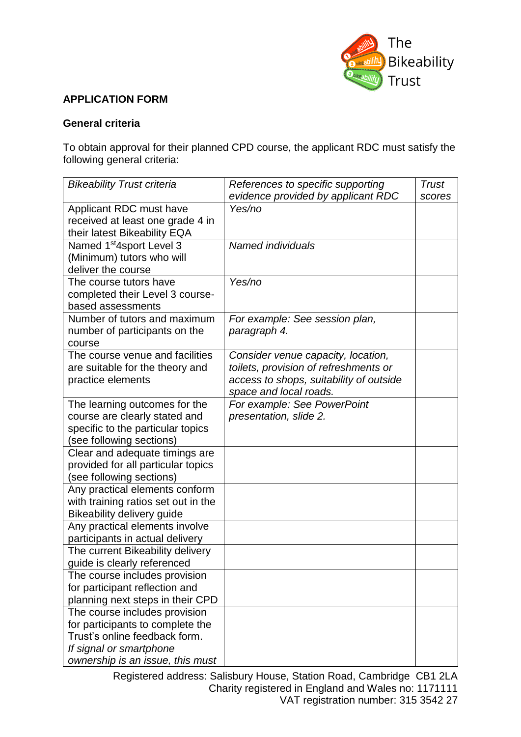

### **APPLICATION FORM**

#### **General criteria**

To obtain approval for their planned CPD course, the applicant RDC must satisfy the following general criteria:

| <b>Bikeability Trust criteria</b>    | References to specific supporting       | <b>Trust</b> |
|--------------------------------------|-----------------------------------------|--------------|
|                                      | evidence provided by applicant RDC      | scores       |
| Applicant RDC must have              | Yes/no                                  |              |
| received at least one grade 4 in     |                                         |              |
| their latest Bikeability EQA         |                                         |              |
| Named 1 <sup>st</sup> 4sport Level 3 | Named individuals                       |              |
| (Minimum) tutors who will            |                                         |              |
| deliver the course                   |                                         |              |
| The course tutors have               | Yes/no                                  |              |
| completed their Level 3 course-      |                                         |              |
| based assessments                    |                                         |              |
| Number of tutors and maximum         | For example: See session plan,          |              |
| number of participants on the        | paragraph 4.                            |              |
| course                               |                                         |              |
| The course venue and facilities      | Consider venue capacity, location,      |              |
| are suitable for the theory and      | toilets, provision of refreshments or   |              |
| practice elements                    | access to shops, suitability of outside |              |
|                                      | space and local roads.                  |              |
| The learning outcomes for the        | For example: See PowerPoint             |              |
| course are clearly stated and        | presentation, slide 2.                  |              |
| specific to the particular topics    |                                         |              |
| (see following sections)             |                                         |              |
| Clear and adequate timings are       |                                         |              |
| provided for all particular topics   |                                         |              |
| (see following sections)             |                                         |              |
| Any practical elements conform       |                                         |              |
| with training ratios set out in the  |                                         |              |
| Bikeability delivery guide           |                                         |              |
| Any practical elements involve       |                                         |              |
| participants in actual delivery      |                                         |              |
| The current Bikeability delivery     |                                         |              |
| quide is clearly referenced          |                                         |              |
| The course includes provision        |                                         |              |
| for participant reflection and       |                                         |              |
| planning next steps in their CPD     |                                         |              |
| The course includes provision        |                                         |              |
| for participants to complete the     |                                         |              |
| Trust's online feedback form.        |                                         |              |
| If signal or smartphone              |                                         |              |
| ownership is an issue, this must     |                                         |              |

Registered address: Salisbury House, Station Road, Cambridge CB1 2LA Charity registered in England and Wales no: 1171111 VAT registration number: 315 3542 27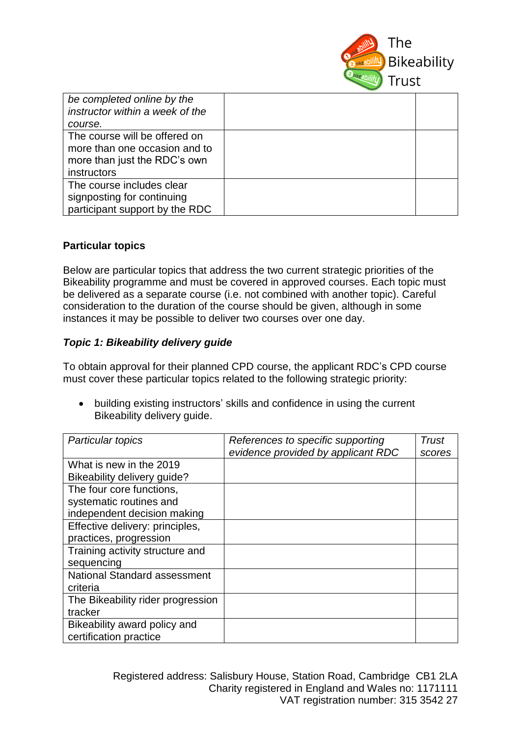

| be completed online by the<br>instructor within a week of the                                                        |  |
|----------------------------------------------------------------------------------------------------------------------|--|
| course.                                                                                                              |  |
| The course will be offered on<br>more than one occasion and to<br>more than just the RDC's own<br><i>instructors</i> |  |
| The course includes clear<br>signposting for continuing<br>participant support by the RDC                            |  |

#### **Particular topics**

Below are particular topics that address the two current strategic priorities of the Bikeability programme and must be covered in approved courses. Each topic must be delivered as a separate course (i.e. not combined with another topic). Careful consideration to the duration of the course should be given, although in some instances it may be possible to deliver two courses over one day.

#### *Topic 1: Bikeability delivery guide*

To obtain approval for their planned CPD course, the applicant RDC's CPD course must cover these particular topics related to the following strategic priority:

• building existing instructors' skills and confidence in using the current Bikeability delivery guide.

| Particular topics                   | References to specific supporting  | Trust  |
|-------------------------------------|------------------------------------|--------|
|                                     | evidence provided by applicant RDC | scores |
| What is new in the 2019             |                                    |        |
| Bikeability delivery guide?         |                                    |        |
| The four core functions,            |                                    |        |
| systematic routines and             |                                    |        |
| independent decision making         |                                    |        |
| Effective delivery: principles,     |                                    |        |
| practices, progression              |                                    |        |
| Training activity structure and     |                                    |        |
| sequencing                          |                                    |        |
| <b>National Standard assessment</b> |                                    |        |
| criteria                            |                                    |        |
| The Bikeability rider progression   |                                    |        |
| tracker                             |                                    |        |
| Bikeability award policy and        |                                    |        |
| certification practice              |                                    |        |